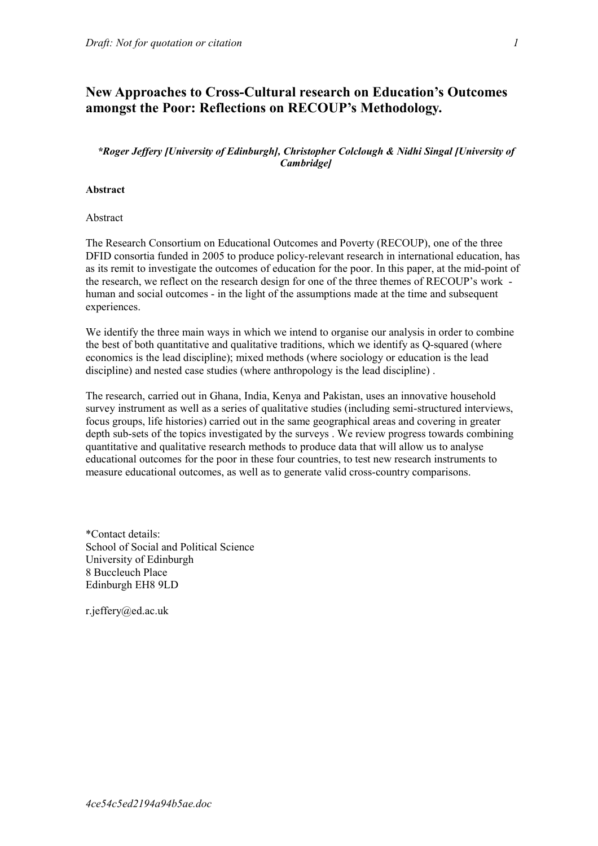# **New Approaches to Cross-Cultural research on Education's Outcomes amongst the Poor: Reflections on RECOUP's Methodology.**

# *\*Roger Jeffery [University of Edinburgh], Christopher Colclough & Nidhi Singal [University of Cambridge]*

### **Abstract**

Abstract

The Research Consortium on Educational Outcomes and Poverty (RECOUP), one of the three DFID consortia funded in 2005 to produce policy-relevant research in international education, has as its remit to investigate the outcomes of education for the poor. In this paper, at the mid-point of the research, we reflect on the research design for one of the three themes of RECOUP's work human and social outcomes - in the light of the assumptions made at the time and subsequent experiences.

We identify the three main ways in which we intend to organise our analysis in order to combine the best of both quantitative and qualitative traditions, which we identify as Q-squared (where economics is the lead discipline); mixed methods (where sociology or education is the lead discipline) and nested case studies (where anthropology is the lead discipline) .

The research, carried out in Ghana, India, Kenya and Pakistan, uses an innovative household survey instrument as well as a series of qualitative studies (including semi-structured interviews, focus groups, life histories) carried out in the same geographical areas and covering in greater depth sub-sets of the topics investigated by the surveys . We review progress towards combining quantitative and qualitative research methods to produce data that will allow us to analyse educational outcomes for the poor in these four countries, to test new research instruments to measure educational outcomes, as well as to generate valid cross-country comparisons.

\*Contact details: School of Social and Political Science University of Edinburgh 8 Buccleuch Place Edinburgh EH8 9LD

r.jeffery@ed.ac.uk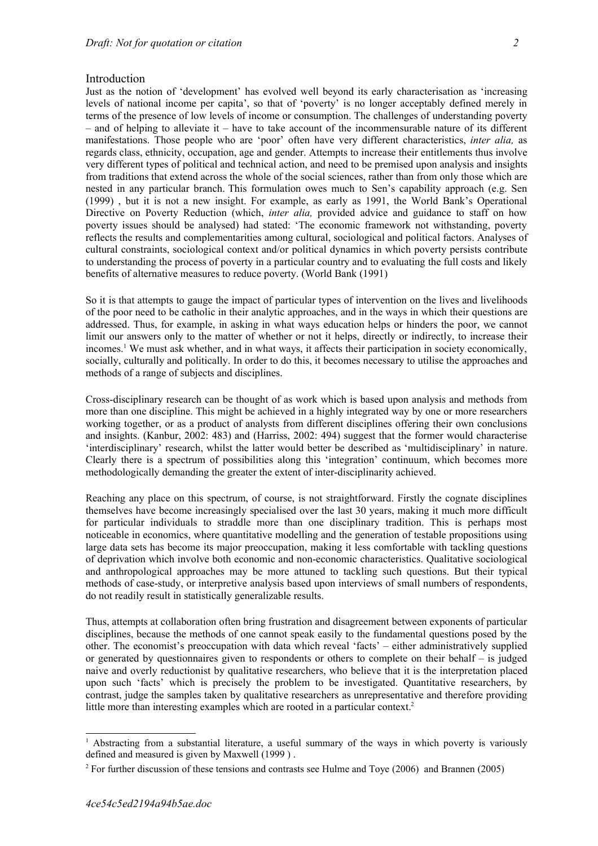#### **Introduction**

Just as the notion of 'development' has evolved well beyond its early characterisation as 'increasing levels of national income per capita', so that of 'poverty' is no longer acceptably defined merely in terms of the presence of low levels of income or consumption. The challenges of understanding poverty – and of helping to alleviate it – have to take account of the incommensurable nature of its different manifestations. Those people who are 'poor' often have very different characteristics, *inter alia,* as regards class, ethnicity, occupation, age and gender. Attempts to increase their entitlements thus involve very different types of political and technical action, and need to be premised upon analysis and insights from traditions that extend across the whole of the social sciences, rather than from only those which are nested in any particular branch. This formulation owes much to Sen's capability approach (e.g. Sen (1999) , but it is not a new insight. For example, as early as 1991, the World Bank's Operational Directive on Poverty Reduction (which, *inter alia,* provided advice and guidance to staff on how poverty issues should be analysed) had stated: 'The economic framework not withstanding, poverty reflects the results and complementarities among cultural, sociological and political factors. Analyses of cultural constraints, sociological context and/or political dynamics in which poverty persists contribute to understanding the process of poverty in a particular country and to evaluating the full costs and likely benefits of alternative measures to reduce poverty. (World Bank (1991)

So it is that attempts to gauge the impact of particular types of intervention on the lives and livelihoods of the poor need to be catholic in their analytic approaches, and in the ways in which their questions are addressed. Thus, for example, in asking in what ways education helps or hinders the poor, we cannot limit our answers only to the matter of whether or not it helps, directly or indirectly, to increase their incomes.<sup>[1](#page-1-0)</sup> We must ask whether, and in what ways, it affects their participation in society economically, socially, culturally and politically. In order to do this, it becomes necessary to utilise the approaches and methods of a range of subjects and disciplines.

Cross-disciplinary research can be thought of as work which is based upon analysis and methods from more than one discipline. This might be achieved in a highly integrated way by one or more researchers working together, or as a product of analysts from different disciplines offering their own conclusions and insights. (Kanbur, 2002: 483) and (Harriss, 2002: 494) suggest that the former would characterise 'interdisciplinary' research, whilst the latter would better be described as 'multidisciplinary' in nature. Clearly there is a spectrum of possibilities along this 'integration' continuum, which becomes more methodologically demanding the greater the extent of inter-disciplinarity achieved.

Reaching any place on this spectrum, of course, is not straightforward. Firstly the cognate disciplines themselves have become increasingly specialised over the last 30 years, making it much more difficult for particular individuals to straddle more than one disciplinary tradition. This is perhaps most noticeable in economics, where quantitative modelling and the generation of testable propositions using large data sets has become its major preoccupation, making it less comfortable with tackling questions of deprivation which involve both economic and non-economic characteristics. Qualitative sociological and anthropological approaches may be more attuned to tackling such questions. But their typical methods of case-study, or interpretive analysis based upon interviews of small numbers of respondents, do not readily result in statistically generalizable results.

Thus, attempts at collaboration often bring frustration and disagreement between exponents of particular disciplines, because the methods of one cannot speak easily to the fundamental questions posed by the other. The economist's preoccupation with data which reveal 'facts' – either administratively supplied or generated by questionnaires given to respondents or others to complete on their behalf – is judged naive and overly reductionist by qualitative researchers, who believe that it is the interpretation placed upon such 'facts' which is precisely the problem to be investigated. Quantitative researchers, by contrast, judge the samples taken by qualitative researchers as unrepresentative and therefore providing little more than interesting examples which are rooted in a particular context.<sup>[2](#page-1-1)</sup>

<span id="page-1-0"></span><sup>&</sup>lt;sup>1</sup> Abstracting from a substantial literature, a useful summary of the ways in which poverty is variously defined and measured is given by Maxwell (1999 ) .

<span id="page-1-1"></span><sup>&</sup>lt;sup>2</sup> For further discussion of these tensions and contrasts see Hulme and Toye (2006) and Brannen (2005)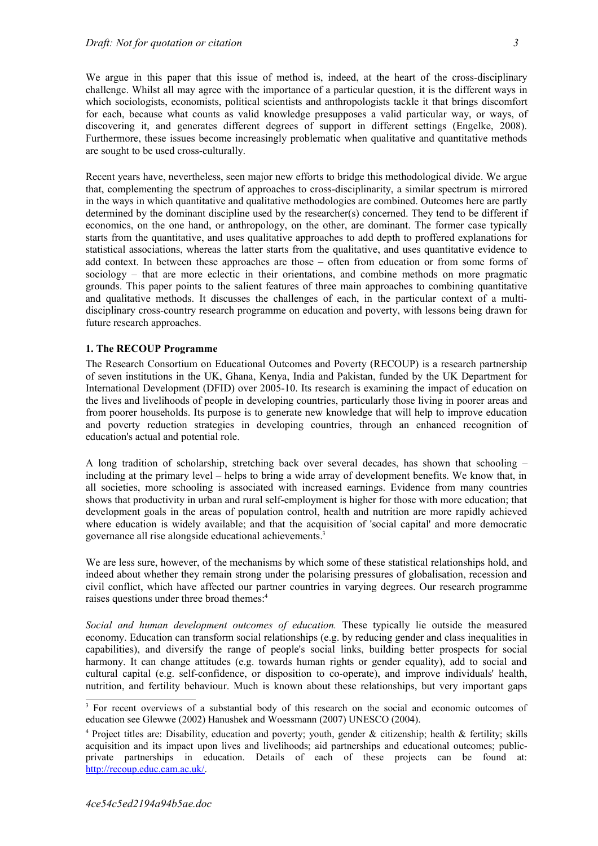We argue in this paper that this issue of method is, indeed, at the heart of the cross-disciplinary challenge. Whilst all may agree with the importance of a particular question, it is the different ways in which sociologists, economists, political scientists and anthropologists tackle it that brings discomfort for each, because what counts as valid knowledge presupposes a valid particular way, or ways, of discovering it, and generates different degrees of support in different settings (Engelke, 2008). Furthermore, these issues become increasingly problematic when qualitative and quantitative methods are sought to be used cross-culturally.

Recent years have, nevertheless, seen major new efforts to bridge this methodological divide. We argue that, complementing the spectrum of approaches to cross-disciplinarity, a similar spectrum is mirrored in the ways in which quantitative and qualitative methodologies are combined. Outcomes here are partly determined by the dominant discipline used by the researcher(s) concerned. They tend to be different if economics, on the one hand, or anthropology, on the other, are dominant. The former case typically starts from the quantitative, and uses qualitative approaches to add depth to proffered explanations for statistical associations, whereas the latter starts from the qualitative, and uses quantitative evidence to add context. In between these approaches are those – often from education or from some forms of sociology – that are more eclectic in their orientations, and combine methods on more pragmatic grounds. This paper points to the salient features of three main approaches to combining quantitative and qualitative methods. It discusses the challenges of each, in the particular context of a multidisciplinary cross-country research programme on education and poverty, with lessons being drawn for future research approaches.

#### **1. The RECOUP Programme**

The Research Consortium on Educational Outcomes and Poverty (RECOUP) is a research partnership of seven institutions in the UK, Ghana, Kenya, India and Pakistan, funded by the UK Department for International Development (DFID) over 2005-10. Its research is examining the impact of education on the lives and livelihoods of people in developing countries, particularly those living in poorer areas and from poorer households. Its purpose is to generate new knowledge that will help to improve education and poverty reduction strategies in developing countries, through an enhanced recognition of education's actual and potential role.

A long tradition of scholarship, stretching back over several decades, has shown that schooling – including at the primary level – helps to bring a wide array of development benefits. We know that, in all societies, more schooling is associated with increased earnings. Evidence from many countries shows that productivity in urban and rural self-employment is higher for those with more education; that development goals in the areas of population control, health and nutrition are more rapidly achieved where education is widely available; and that the acquisition of 'social capital' and more democratic governance all rise alongside educational achievements.<sup>[3](#page-2-0)</sup>

We are less sure, however, of the mechanisms by which some of these statistical relationships hold, and indeed about whether they remain strong under the polarising pressures of globalisation, recession and civil conflict, which have affected our partner countries in varying degrees. Our research programme raises questions under three broad themes:<sup>[4](#page-2-1)</sup>

*Social and human development outcomes of education.* These typically lie outside the measured economy. Education can transform social relationships (e.g. by reducing gender and class inequalities in capabilities), and diversify the range of people's social links, building better prospects for social harmony. It can change attitudes (e.g. towards human rights or gender equality), add to social and cultural capital (e.g. self-confidence, or disposition to co-operate), and improve individuals' health, nutrition, and fertility behaviour. Much is known about these relationships, but very important gaps

<span id="page-2-0"></span><sup>&</sup>lt;sup>3</sup> For recent overviews of a substantial body of this research on the social and economic outcomes of education see Glewwe (2002) Hanushek and Woessmann (2007) UNESCO (2004).

<span id="page-2-1"></span><sup>4</sup> Project titles are: Disability, education and poverty; youth, gender & citizenship; health & fertility; skills acquisition and its impact upon lives and livelihoods; aid partnerships and educational outcomes; publicprivate partnerships in education. Details of each of these projects can be found at: [http://recoup.educ.cam.ac.uk/.](http://recoup.educ.cam.ac.uk/)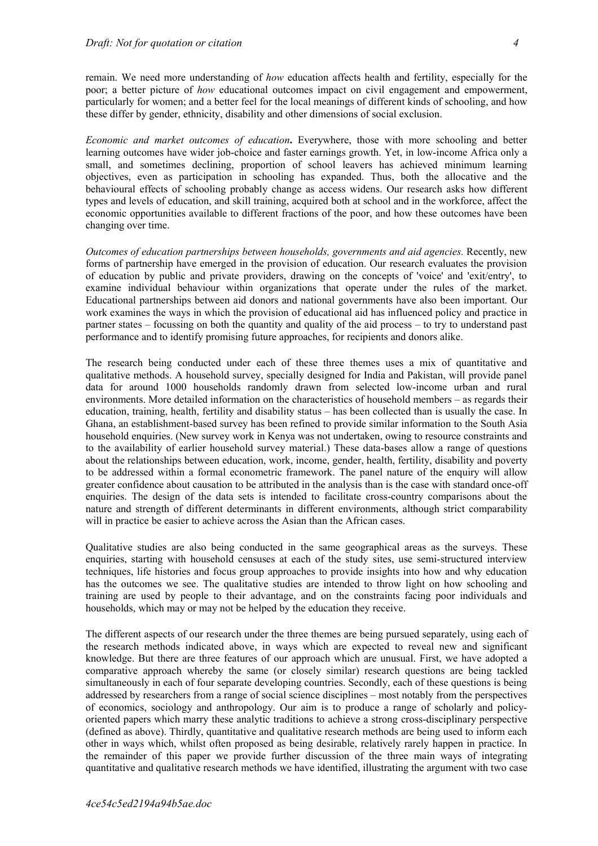remain. We need more understanding of *how* education affects health and fertility, especially for the poor; a better picture of *how* educational outcomes impact on civil engagement and empowerment, particularly for women; and a better feel for the local meanings of different kinds of schooling, and how these differ by gender, ethnicity, disability and other dimensions of social exclusion.

*Economic and market outcomes of education***.** Everywhere, those with more schooling and better learning outcomes have wider job-choice and faster earnings growth. Yet, in low-income Africa only a small, and sometimes declining, proportion of school leavers has achieved minimum learning objectives, even as participation in schooling has expanded. Thus, both the allocative and the behavioural effects of schooling probably change as access widens. Our research asks how different types and levels of education, and skill training, acquired both at school and in the workforce, affect the economic opportunities available to different fractions of the poor, and how these outcomes have been changing over time.

*Outcomes of education partnerships between households, governments and aid agencies.* Recently, new forms of partnership have emerged in the provision of education. Our research evaluates the provision of education by public and private providers, drawing on the concepts of 'voice' and 'exit/entry', to examine individual behaviour within organizations that operate under the rules of the market. Educational partnerships between aid donors and national governments have also been important. Our work examines the ways in which the provision of educational aid has influenced policy and practice in partner states – focussing on both the quantity and quality of the aid process – to try to understand past performance and to identify promising future approaches, for recipients and donors alike.

The research being conducted under each of these three themes uses a mix of quantitative and qualitative methods. A household survey, specially designed for India and Pakistan, will provide panel data for around 1000 households randomly drawn from selected low-income urban and rural environments. More detailed information on the characteristics of household members – as regards their education, training, health, fertility and disability status – has been collected than is usually the case. In Ghana, an establishment-based survey has been refined to provide similar information to the South Asia household enquiries. (New survey work in Kenya was not undertaken, owing to resource constraints and to the availability of earlier household survey material.) These data-bases allow a range of questions about the relationships between education, work, income, gender, health, fertility, disability and poverty to be addressed within a formal econometric framework. The panel nature of the enquiry will allow greater confidence about causation to be attributed in the analysis than is the case with standard once-off enquiries. The design of the data sets is intended to facilitate cross-country comparisons about the nature and strength of different determinants in different environments, although strict comparability will in practice be easier to achieve across the Asian than the African cases.

Qualitative studies are also being conducted in the same geographical areas as the surveys. These enquiries, starting with household censuses at each of the study sites, use semi-structured interview techniques, life histories and focus group approaches to provide insights into how and why education has the outcomes we see. The qualitative studies are intended to throw light on how schooling and training are used by people to their advantage, and on the constraints facing poor individuals and households, which may or may not be helped by the education they receive.

The different aspects of our research under the three themes are being pursued separately, using each of the research methods indicated above, in ways which are expected to reveal new and significant knowledge. But there are three features of our approach which are unusual. First, we have adopted a comparative approach whereby the same (or closely similar) research questions are being tackled simultaneously in each of four separate developing countries. Secondly, each of these questions is being addressed by researchers from a range of social science disciplines – most notably from the perspectives of economics, sociology and anthropology. Our aim is to produce a range of scholarly and policyoriented papers which marry these analytic traditions to achieve a strong cross-disciplinary perspective (defined as above). Thirdly, quantitative and qualitative research methods are being used to inform each other in ways which, whilst often proposed as being desirable, relatively rarely happen in practice. In the remainder of this paper we provide further discussion of the three main ways of integrating quantitative and qualitative research methods we have identified, illustrating the argument with two case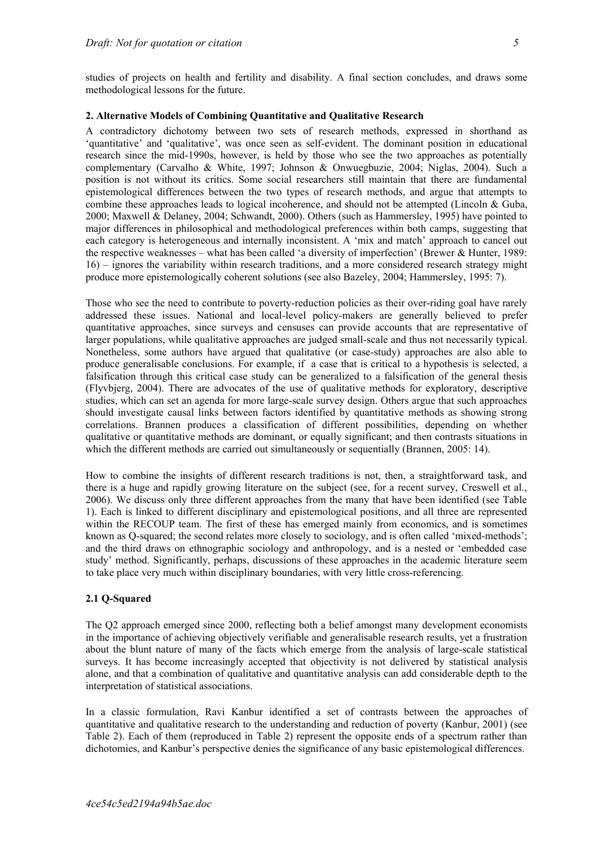studies of projects on health and fertility and disability. A final section concludes, and draws some methodological lessons for the future.

### **2. Alternative Models of Combining Quantitative and Qualitative Research**

A contradictory dichotomy between two sets of research methods, expressed in shorthand as 'quantitative' and 'qualitative', was once seen as self-evident. The dominant position in educational research since the mid-1990s, however, is held by those who see the two approaches as potentially complementary (Carvalho & White, 1997; Johnson & Onwuegbuzie, 2004; Niglas, 2004). Such a position is not without its critics. Some social researchers still maintain that there are fundamental epistemological differences between the two types of research methods, and argue that attempts to combine these approaches leads to logical incoherence, and should not be attempted (Lincoln & Guba, 2000; Maxwell & Delaney, 2004; Schwandt, 2000). Others (such as Hammersley, 1995) have pointed to major differences in philosophical and methodological preferences within both camps, suggesting that each category is heterogeneous and internally inconsistent. A 'mix and match' approach to cancel out the respective weaknesses – what has been called 'a diversity of imperfection' (Brewer & Hunter, 1989: 16) – ignores the variability within research traditions, and a more considered research strategy might produce more epistemologically coherent solutions (see also Bazeley, 2004; Hammersley, 1995: 7).

Those who see the need to contribute to poverty-reduction policies as their over-riding goal have rarely addressed these issues. National and local-level policy-makers are generally believed to prefer quantitative approaches, since surveys and censuses can provide accounts that are representative of larger populations, while qualitative approaches are judged small-scale and thus not necessarily typical. Nonetheless, some authors have argued that qualitative (or case-study) approaches are also able to produce generalisable conclusions. For example, if a case that is critical to a hypothesis is selected, a falsification through this critical case study can be generalized to a falsification of the general thesis (Flyvbjerg, 2004). There are advocates of the use of qualitative methods for exploratory, descriptive studies, which can set an agenda for more large-scale survey design. Others argue that such approaches should investigate causal links between factors identified by quantitative methods as showing strong correlations. Brannen produces a classification of different possibilities, depending on whether qualitative or quantitative methods are dominant, or equally significant; and then contrasts situations in which the different methods are carried out simultaneously or sequentially (Brannen, 2005: 14).

How to combine the insights of different research traditions is not, then, a straightforward task, and there is a huge and rapidly growing literature on the subject (see, for a recent survey, Creswell et al., 2006). We discuss only three different approaches from the many that have been identified (see Table 1). Each is linked to different disciplinary and epistemological positions, and all three are represented within the RECOUP team. The first of these has emerged mainly from economics, and is sometimes known as Q-squared; the second relates more closely to sociology, and is often called 'mixed-methods'; and the third draws on ethnographic sociology and anthropology, and is a nested or 'embedded case study' method. Significantly, perhaps, discussions of these approaches in the academic literature seem to take place very much within disciplinary boundaries, with very little cross-referencing.

### **2.1 Q-Squared**

The Q2 approach emerged since 2000, reflecting both a belief amongst many development economists in the importance of achieving objectively verifiable and generalisable research results, yet a frustration about the blunt nature of many of the facts which emerge from the analysis of large-scale statistical surveys. It has become increasingly accepted that objectivity is not delivered by statistical analysis alone, and that a combination of qualitative and quantitative analysis can add considerable depth to the interpretation of statistical associations.

In a classic formulation, Ravi Kanbur identified a set of contrasts between the approaches of quantitative and qualitative research to the understanding and reduction of poverty (Kanbur, 2001) (see Table 2). Each of them (reproduced in Table 2) represent the opposite ends of a spectrum rather than dichotomies, and Kanbur's perspective denies the significance of any basic epistemological differences.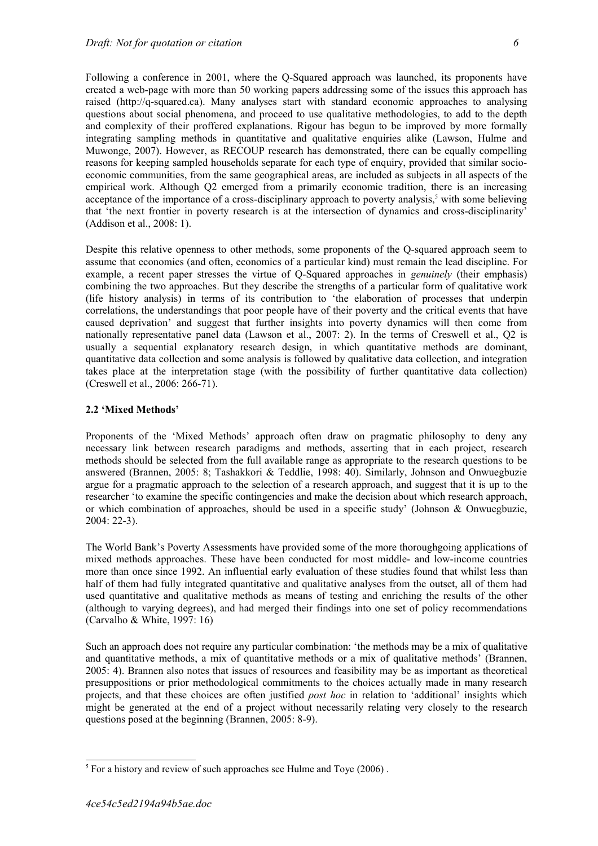Following a conference in 2001, where the Q-Squared approach was launched, its proponents have created a web-page with more than 50 working papers addressing some of the issues this approach has raised (http://q-squared.ca). Many analyses start with standard economic approaches to analysing questions about social phenomena, and proceed to use qualitative methodologies, to add to the depth and complexity of their proffered explanations. Rigour has begun to be improved by more formally integrating sampling methods in quantitative and qualitative enquiries alike (Lawson, Hulme and Muwonge, 2007). However, as RECOUP research has demonstrated, there can be equally compelling reasons for keeping sampled households separate for each type of enquiry, provided that similar socioeconomic communities, from the same geographical areas, are included as subjects in all aspects of the empirical work. Although Q2 emerged from a primarily economic tradition, there is an increasing acceptance of the importance of a cross-disciplinary approach to poverty analysis,<sup>[5](#page-5-0)</sup> with some believing that 'the next frontier in poverty research is at the intersection of dynamics and cross-disciplinarity' (Addison et al., 2008: 1).

Despite this relative openness to other methods, some proponents of the Q-squared approach seem to assume that economics (and often, economics of a particular kind) must remain the lead discipline. For example, a recent paper stresses the virtue of Q-Squared approaches in *genuinely* (their emphasis) combining the two approaches. But they describe the strengths of a particular form of qualitative work (life history analysis) in terms of its contribution to 'the elaboration of processes that underpin correlations, the understandings that poor people have of their poverty and the critical events that have caused deprivation' and suggest that further insights into poverty dynamics will then come from nationally representative panel data (Lawson et al., 2007: 2). In the terms of Creswell et al., Q2 is usually a sequential explanatory research design, in which quantitative methods are dominant, quantitative data collection and some analysis is followed by qualitative data collection, and integration takes place at the interpretation stage (with the possibility of further quantitative data collection) (Creswell et al., 2006: 266-71).

### **2.2 'Mixed Methods'**

Proponents of the 'Mixed Methods' approach often draw on pragmatic philosophy to deny any necessary link between research paradigms and methods, asserting that in each project, research methods should be selected from the full available range as appropriate to the research questions to be answered (Brannen, 2005: 8; Tashakkori & Teddlie, 1998: 40). Similarly, Johnson and Onwuegbuzie argue for a pragmatic approach to the selection of a research approach, and suggest that it is up to the researcher 'to examine the specific contingencies and make the decision about which research approach, or which combination of approaches, should be used in a specific study' (Johnson & Onwuegbuzie, 2004: 22-3).

The World Bank's Poverty Assessments have provided some of the more thoroughgoing applications of mixed methods approaches. These have been conducted for most middle- and low-income countries more than once since 1992. An influential early evaluation of these studies found that whilst less than half of them had fully integrated quantitative and qualitative analyses from the outset, all of them had used quantitative and qualitative methods as means of testing and enriching the results of the other (although to varying degrees), and had merged their findings into one set of policy recommendations (Carvalho & White, 1997: 16)

Such an approach does not require any particular combination: 'the methods may be a mix of qualitative and quantitative methods, a mix of quantitative methods or a mix of qualitative methods' (Brannen, 2005: 4). Brannen also notes that issues of resources and feasibility may be as important as theoretical presuppositions or prior methodological commitments to the choices actually made in many research projects, and that these choices are often justified *post hoc* in relation to 'additional' insights which might be generated at the end of a project without necessarily relating very closely to the research questions posed at the beginning (Brannen, 2005: 8-9).

<span id="page-5-0"></span> $<sup>5</sup>$  For a history and review of such approaches see Hulme and Toye (2006).</sup>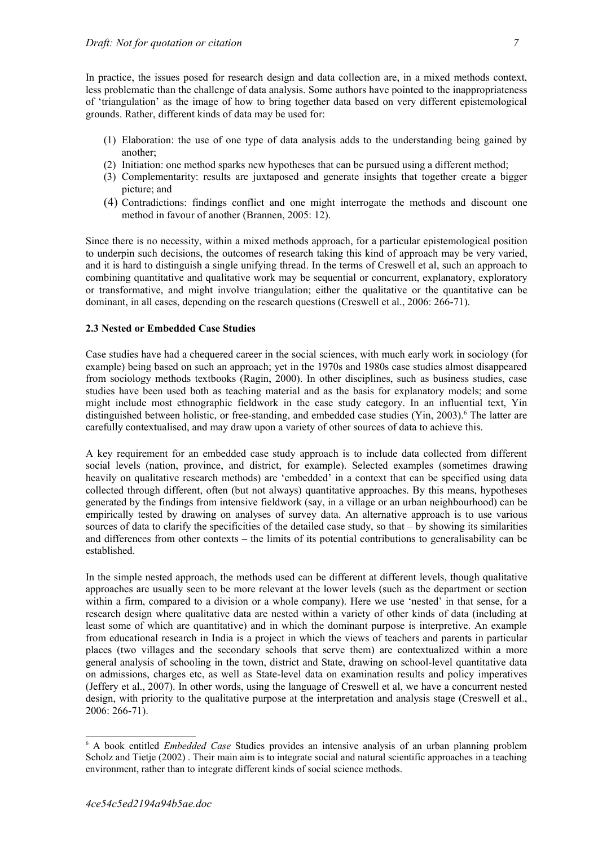In practice, the issues posed for research design and data collection are, in a mixed methods context, less problematic than the challenge of data analysis. Some authors have pointed to the inappropriateness of 'triangulation' as the image of how to bring together data based on very different epistemological grounds. Rather, different kinds of data may be used for:

- (1) Elaboration: the use of one type of data analysis adds to the understanding being gained by another;
- (2) Initiation: one method sparks new hypotheses that can be pursued using a different method;
- (3) Complementarity: results are juxtaposed and generate insights that together create a bigger picture; and
- (4) Contradictions: findings conflict and one might interrogate the methods and discount one method in favour of another (Brannen, 2005: 12).

Since there is no necessity, within a mixed methods approach, for a particular epistemological position to underpin such decisions, the outcomes of research taking this kind of approach may be very varied, and it is hard to distinguish a single unifying thread. In the terms of Creswell et al, such an approach to combining quantitative and qualitative work may be sequential or concurrent, explanatory, exploratory or transformative, and might involve triangulation; either the qualitative or the quantitative can be dominant, in all cases, depending on the research questions (Creswell et al., 2006: 266-71).

### **2.3 Nested or Embedded Case Studies**

Case studies have had a chequered career in the social sciences, with much early work in sociology (for example) being based on such an approach; yet in the 1970s and 1980s case studies almost disappeared from sociology methods textbooks (Ragin, 2000). In other disciplines, such as business studies, case studies have been used both as teaching material and as the basis for explanatory models; and some might include most ethnographic fieldwork in the case study category. In an influential text, Yin distinguished between holistic, or free-standing, and embedded case studies (Yin, 2003).<sup>[6](#page-6-0)</sup> The latter are carefully contextualised, and may draw upon a variety of other sources of data to achieve this.

A key requirement for an embedded case study approach is to include data collected from different social levels (nation, province, and district, for example). Selected examples (sometimes drawing heavily on qualitative research methods) are 'embedded' in a context that can be specified using data collected through different, often (but not always) quantitative approaches. By this means, hypotheses generated by the findings from intensive fieldwork (say, in a village or an urban neighbourhood) can be empirically tested by drawing on analyses of survey data. An alternative approach is to use various sources of data to clarify the specificities of the detailed case study, so that – by showing its similarities and differences from other contexts – the limits of its potential contributions to generalisability can be established.

In the simple nested approach, the methods used can be different at different levels, though qualitative approaches are usually seen to be more relevant at the lower levels (such as the department or section within a firm, compared to a division or a whole company). Here we use 'nested' in that sense, for a research design where qualitative data are nested within a variety of other kinds of data (including at least some of which are quantitative) and in which the dominant purpose is interpretive. An example from educational research in India is a project in which the views of teachers and parents in particular places (two villages and the secondary schools that serve them) are contextualized within a more general analysis of schooling in the town, district and State, drawing on school-level quantitative data on admissions, charges etc, as well as State-level data on examination results and policy imperatives (Jeffery et al., 2007). In other words, using the language of Creswell et al, we have a concurrent nested design, with priority to the qualitative purpose at the interpretation and analysis stage (Creswell et al., 2006: 266-71).

<span id="page-6-0"></span><sup>6</sup> A book entitled *Embedded Case* Studies provides an intensive analysis of an urban planning problem Scholz and Tietje (2002) . Their main aim is to integrate social and natural scientific approaches in a teaching environment, rather than to integrate different kinds of social science methods.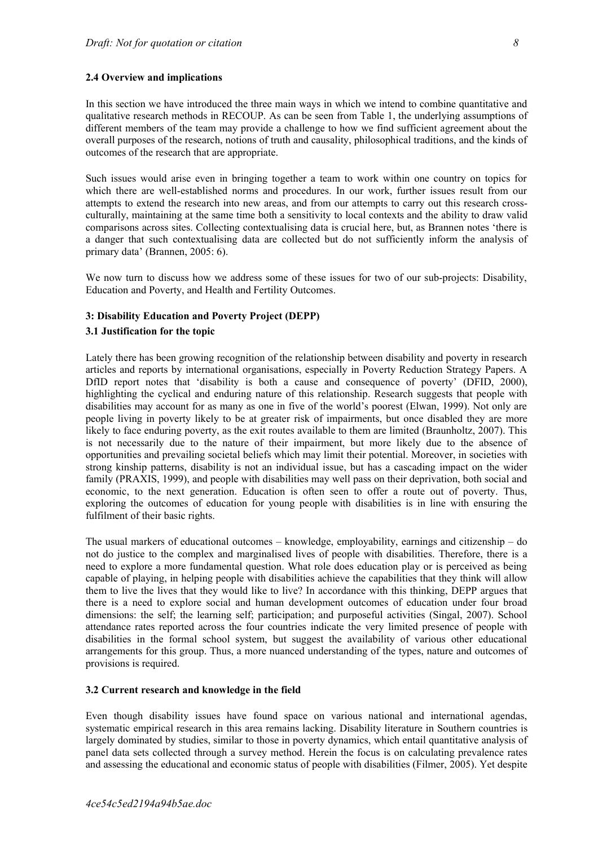#### **2.4 Overview and implications**

In this section we have introduced the three main ways in which we intend to combine quantitative and qualitative research methods in RECOUP. As can be seen from Table 1, the underlying assumptions of different members of the team may provide a challenge to how we find sufficient agreement about the overall purposes of the research, notions of truth and causality, philosophical traditions, and the kinds of outcomes of the research that are appropriate.

Such issues would arise even in bringing together a team to work within one country on topics for which there are well-established norms and procedures. In our work, further issues result from our attempts to extend the research into new areas, and from our attempts to carry out this research crossculturally, maintaining at the same time both a sensitivity to local contexts and the ability to draw valid comparisons across sites. Collecting contextualising data is crucial here, but, as Brannen notes 'there is a danger that such contextualising data are collected but do not sufficiently inform the analysis of primary data' (Brannen, 2005: 6).

We now turn to discuss how we address some of these issues for two of our sub-projects: Disability, Education and Poverty, and Health and Fertility Outcomes.

### **3: Disability Education and Poverty Project (DEPP)**

#### **3.1 Justification for the topic**

Lately there has been growing recognition of the relationship between disability and poverty in research articles and reports by international organisations, especially in Poverty Reduction Strategy Papers. A DfID report notes that 'disability is both a cause and consequence of poverty' (DFID, 2000), highlighting the cyclical and enduring nature of this relationship. Research suggests that people with disabilities may account for as many as one in five of the world's poorest (Elwan, 1999). Not only are people living in poverty likely to be at greater risk of impairments, but once disabled they are more likely to face enduring poverty, as the exit routes available to them are limited (Braunholtz, 2007). This is not necessarily due to the nature of their impairment, but more likely due to the absence of opportunities and prevailing societal beliefs which may limit their potential. Moreover, in societies with strong kinship patterns, disability is not an individual issue, but has a cascading impact on the wider family (PRAXIS, 1999), and people with disabilities may well pass on their deprivation, both social and economic, to the next generation. Education is often seen to offer a route out of poverty. Thus, exploring the outcomes of education for young people with disabilities is in line with ensuring the fulfilment of their basic rights.

The usual markers of educational outcomes – knowledge, employability, earnings and citizenship – do not do justice to the complex and marginalised lives of people with disabilities. Therefore, there is a need to explore a more fundamental question. What role does education play or is perceived as being capable of playing, in helping people with disabilities achieve the capabilities that they think will allow them to live the lives that they would like to live? In accordance with this thinking, DEPP argues that there is a need to explore social and human development outcomes of education under four broad dimensions: the self; the learning self; participation; and purposeful activities (Singal, 2007). School attendance rates reported across the four countries indicate the very limited presence of people with disabilities in the formal school system, but suggest the availability of various other educational arrangements for this group. Thus, a more nuanced understanding of the types, nature and outcomes of provisions is required.

#### **3.2 Current research and knowledge in the field**

Even though disability issues have found space on various national and international agendas, systematic empirical research in this area remains lacking. Disability literature in Southern countries is largely dominated by studies, similar to those in poverty dynamics, which entail quantitative analysis of panel data sets collected through a survey method. Herein the focus is on calculating prevalence rates and assessing the educational and economic status of people with disabilities (Filmer, 2005). Yet despite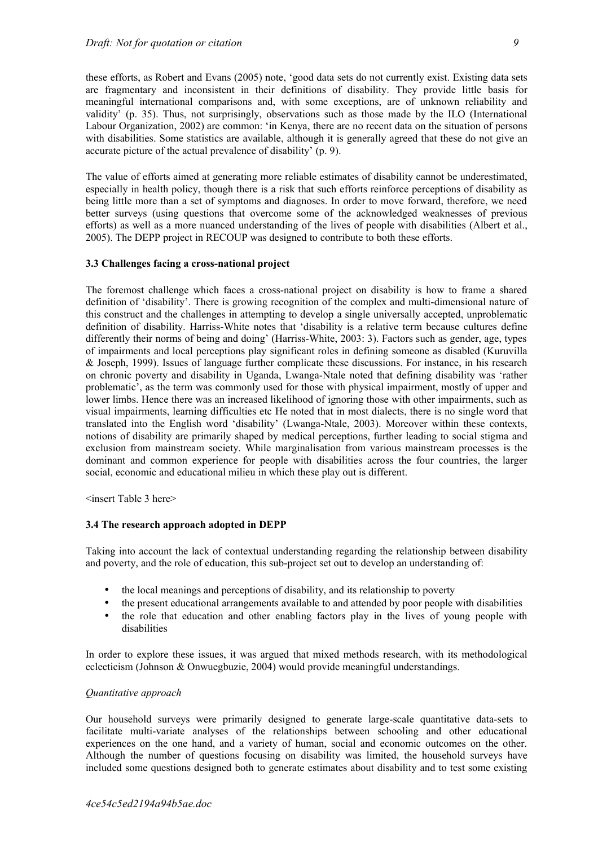these efforts, as Robert and Evans (2005) note, 'good data sets do not currently exist. Existing data sets are fragmentary and inconsistent in their definitions of disability. They provide little basis for meaningful international comparisons and, with some exceptions, are of unknown reliability and validity' (p. 35). Thus, not surprisingly, observations such as those made by the ILO (International Labour Organization, 2002) are common: 'in Kenya, there are no recent data on the situation of persons with disabilities. Some statistics are available, although it is generally agreed that these do not give an accurate picture of the actual prevalence of disability' (p. 9).

The value of efforts aimed at generating more reliable estimates of disability cannot be underestimated, especially in health policy, though there is a risk that such efforts reinforce perceptions of disability as being little more than a set of symptoms and diagnoses. In order to move forward, therefore, we need better surveys (using questions that overcome some of the acknowledged weaknesses of previous efforts) as well as a more nuanced understanding of the lives of people with disabilities (Albert et al., 2005). The DEPP project in RECOUP was designed to contribute to both these efforts.

### **3.3 Challenges facing a cross-national project**

The foremost challenge which faces a cross-national project on disability is how to frame a shared definition of 'disability'. There is growing recognition of the complex and multi-dimensional nature of this construct and the challenges in attempting to develop a single universally accepted, unproblematic definition of disability. Harriss-White notes that 'disability is a relative term because cultures define differently their norms of being and doing' (Harriss-White, 2003: 3). Factors such as gender, age, types of impairments and local perceptions play significant roles in defining someone as disabled (Kuruvilla & Joseph, 1999). Issues of language further complicate these discussions. For instance, in his research on chronic poverty and disability in Uganda, Lwanga-Ntale noted that defining disability was 'rather problematic', as the term was commonly used for those with physical impairment, mostly of upper and lower limbs. Hence there was an increased likelihood of ignoring those with other impairments, such as visual impairments, learning difficulties etc He noted that in most dialects, there is no single word that translated into the English word 'disability' (Lwanga-Ntale, 2003). Moreover within these contexts, notions of disability are primarily shaped by medical perceptions, further leading to social stigma and exclusion from mainstream society. While marginalisation from various mainstream processes is the dominant and common experience for people with disabilities across the four countries, the larger social, economic and educational milieu in which these play out is different.

<insert Table 3 here>

#### **3.4 The research approach adopted in DEPP**

Taking into account the lack of contextual understanding regarding the relationship between disability and poverty, and the role of education, this sub-project set out to develop an understanding of:

- the local meanings and perceptions of disability, and its relationship to poverty
- the present educational arrangements available to and attended by poor people with disabilities
- the role that education and other enabling factors play in the lives of young people with disabilities

In order to explore these issues, it was argued that mixed methods research, with its methodological eclecticism (Johnson & Onwuegbuzie, 2004) would provide meaningful understandings.

#### *Quantitative approach*

Our household surveys were primarily designed to generate large-scale quantitative data-sets to facilitate multi-variate analyses of the relationships between schooling and other educational experiences on the one hand, and a variety of human, social and economic outcomes on the other. Although the number of questions focusing on disability was limited, the household surveys have included some questions designed both to generate estimates about disability and to test some existing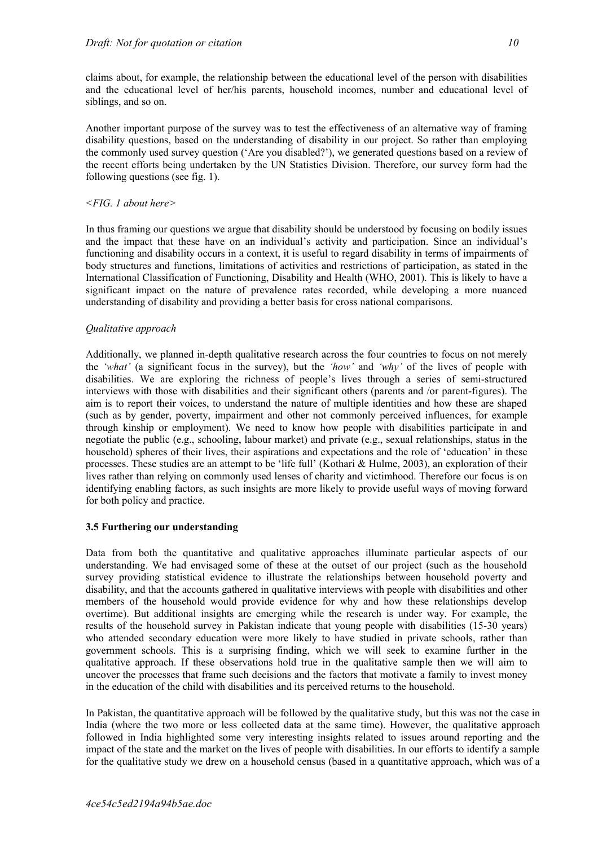claims about, for example, the relationship between the educational level of the person with disabilities and the educational level of her/his parents, household incomes, number and educational level of siblings, and so on.

Another important purpose of the survey was to test the effectiveness of an alternative way of framing disability questions, based on the understanding of disability in our project. So rather than employing the commonly used survey question ('Are you disabled?'), we generated questions based on a review of the recent efforts being undertaken by the UN Statistics Division. Therefore, our survey form had the following questions (see fig. 1).

## *<FIG. 1 about here>*

In thus framing our questions we argue that disability should be understood by focusing on bodily issues and the impact that these have on an individual's activity and participation. Since an individual's functioning and disability occurs in a context, it is useful to regard disability in terms of impairments of body structures and functions, limitations of activities and restrictions of participation, as stated in the International Classification of Functioning, Disability and Health (WHO, 2001). This is likely to have a significant impact on the nature of prevalence rates recorded, while developing a more nuanced understanding of disability and providing a better basis for cross national comparisons.

# *Qualitative approach*

Additionally, we planned in-depth qualitative research across the four countries to focus on not merely the *'what'* (a significant focus in the survey), but the *'how'* and *'why'* of the lives of people with disabilities. We are exploring the richness of people's lives through a series of semi-structured interviews with those with disabilities and their significant others (parents and /or parent-figures). The aim is to report their voices, to understand the nature of multiple identities and how these are shaped (such as by gender, poverty, impairment and other not commonly perceived influences, for example through kinship or employment). We need to know how people with disabilities participate in and negotiate the public (e.g., schooling, labour market) and private (e.g., sexual relationships, status in the household) spheres of their lives, their aspirations and expectations and the role of 'education' in these processes. These studies are an attempt to be 'life full' (Kothari & Hulme, 2003), an exploration of their lives rather than relying on commonly used lenses of charity and victimhood. Therefore our focus is on identifying enabling factors, as such insights are more likely to provide useful ways of moving forward for both policy and practice.

# **3.5 Furthering our understanding**

Data from both the quantitative and qualitative approaches illuminate particular aspects of our understanding. We had envisaged some of these at the outset of our project (such as the household survey providing statistical evidence to illustrate the relationships between household poverty and disability, and that the accounts gathered in qualitative interviews with people with disabilities and other members of the household would provide evidence for why and how these relationships develop overtime). But additional insights are emerging while the research is under way. For example, the results of the household survey in Pakistan indicate that young people with disabilities (15-30 years) who attended secondary education were more likely to have studied in private schools, rather than government schools. This is a surprising finding, which we will seek to examine further in the qualitative approach. If these observations hold true in the qualitative sample then we will aim to uncover the processes that frame such decisions and the factors that motivate a family to invest money in the education of the child with disabilities and its perceived returns to the household.

In Pakistan, the quantitative approach will be followed by the qualitative study, but this was not the case in India (where the two more or less collected data at the same time). However, the qualitative approach followed in India highlighted some very interesting insights related to issues around reporting and the impact of the state and the market on the lives of people with disabilities. In our efforts to identify a sample for the qualitative study we drew on a household census (based in a quantitative approach, which was of a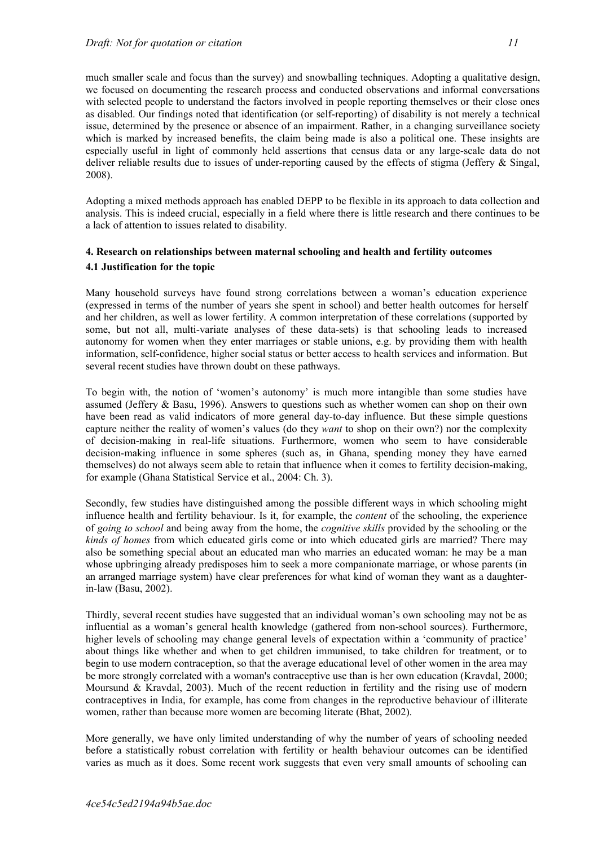much smaller scale and focus than the survey) and snowballing techniques. Adopting a qualitative design, we focused on documenting the research process and conducted observations and informal conversations with selected people to understand the factors involved in people reporting themselves or their close ones as disabled. Our findings noted that identification (or self-reporting) of disability is not merely a technical issue, determined by the presence or absence of an impairment. Rather, in a changing surveillance society which is marked by increased benefits, the claim being made is also a political one. These insights are especially useful in light of commonly held assertions that census data or any large-scale data do not deliver reliable results due to issues of under-reporting caused by the effects of stigma (Jeffery  $\&$  Singal, 2008).

Adopting a mixed methods approach has enabled DEPP to be flexible in its approach to data collection and analysis. This is indeed crucial, especially in a field where there is little research and there continues to be a lack of attention to issues related to disability.

# **4. Research on relationships between maternal schooling and health and fertility outcomes 4.1 Justification for the topic**

Many household surveys have found strong correlations between a woman's education experience (expressed in terms of the number of years she spent in school) and better health outcomes for herself and her children, as well as lower fertility. A common interpretation of these correlations (supported by some, but not all, multi-variate analyses of these data-sets) is that schooling leads to increased autonomy for women when they enter marriages or stable unions, e.g. by providing them with health information, self-confidence, higher social status or better access to health services and information. But several recent studies have thrown doubt on these pathways.

To begin with, the notion of 'women's autonomy' is much more intangible than some studies have assumed (Jeffery & Basu, 1996). Answers to questions such as whether women can shop on their own have been read as valid indicators of more general day-to-day influence. But these simple questions capture neither the reality of women's values (do they *want* to shop on their own?) nor the complexity of decision-making in real-life situations. Furthermore, women who seem to have considerable decision-making influence in some spheres (such as, in Ghana, spending money they have earned themselves) do not always seem able to retain that influence when it comes to fertility decision-making, for example (Ghana Statistical Service et al., 2004: Ch. 3).

Secondly, few studies have distinguished among the possible different ways in which schooling might influence health and fertility behaviour. Is it, for example, the *content* of the schooling, the experience of *going to school* and being away from the home, the *cognitive skills* provided by the schooling or the *kinds of homes* from which educated girls come or into which educated girls are married? There may also be something special about an educated man who marries an educated woman: he may be a man whose upbringing already predisposes him to seek a more companionate marriage, or whose parents (in an arranged marriage system) have clear preferences for what kind of woman they want as a daughterin-law (Basu, 2002).

Thirdly, several recent studies have suggested that an individual woman's own schooling may not be as influential as a woman's general health knowledge (gathered from non-school sources). Furthermore, higher levels of schooling may change general levels of expectation within a 'community of practice' about things like whether and when to get children immunised, to take children for treatment, or to begin to use modern contraception, so that the average educational level of other women in the area may be more strongly correlated with a woman's contraceptive use than is her own education (Kravdal, 2000; Moursund & Kravdal, 2003). Much of the recent reduction in fertility and the rising use of modern contraceptives in India, for example, has come from changes in the reproductive behaviour of illiterate women, rather than because more women are becoming literate (Bhat, 2002).

More generally, we have only limited understanding of why the number of years of schooling needed before a statistically robust correlation with fertility or health behaviour outcomes can be identified varies as much as it does. Some recent work suggests that even very small amounts of schooling can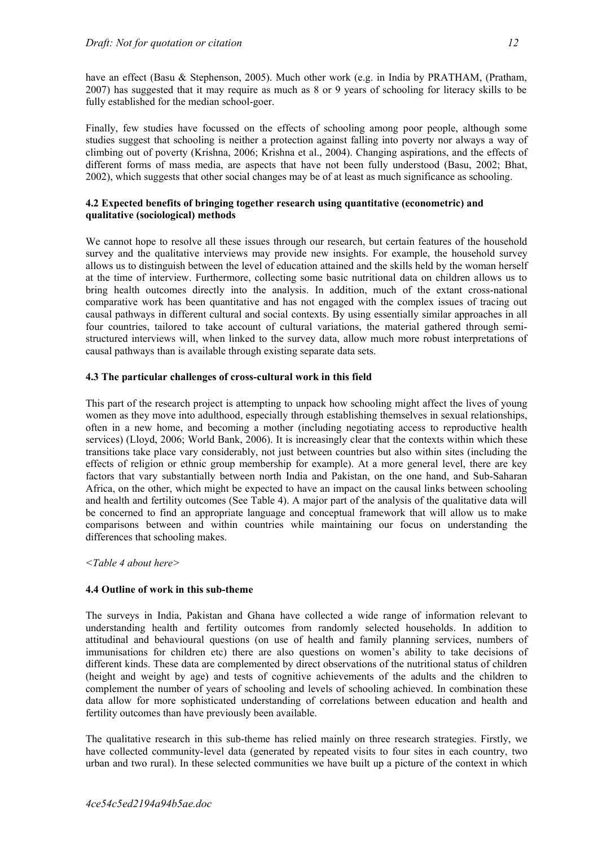have an effect (Basu & Stephenson, 2005). Much other work (e.g. in India by PRATHAM, (Pratham, 2007) has suggested that it may require as much as 8 or 9 years of schooling for literacy skills to be fully established for the median school-goer.

Finally, few studies have focussed on the effects of schooling among poor people, although some studies suggest that schooling is neither a protection against falling into poverty nor always a way of climbing out of poverty (Krishna, 2006; Krishna et al., 2004). Changing aspirations, and the effects of different forms of mass media, are aspects that have not been fully understood (Basu, 2002; Bhat, 2002), which suggests that other social changes may be of at least as much significance as schooling.

### **4.2 Expected benefits of bringing together research using quantitative (econometric) and qualitative (sociological) methods**

We cannot hope to resolve all these issues through our research, but certain features of the household survey and the qualitative interviews may provide new insights. For example, the household survey allows us to distinguish between the level of education attained and the skills held by the woman herself at the time of interview. Furthermore, collecting some basic nutritional data on children allows us to bring health outcomes directly into the analysis. In addition, much of the extant cross-national comparative work has been quantitative and has not engaged with the complex issues of tracing out causal pathways in different cultural and social contexts. By using essentially similar approaches in all four countries, tailored to take account of cultural variations, the material gathered through semistructured interviews will, when linked to the survey data, allow much more robust interpretations of causal pathways than is available through existing separate data sets.

### **4.3 The particular challenges of cross-cultural work in this field**

This part of the research project is attempting to unpack how schooling might affect the lives of young women as they move into adulthood, especially through establishing themselves in sexual relationships, often in a new home, and becoming a mother (including negotiating access to reproductive health services) (Lloyd, 2006; World Bank, 2006). It is increasingly clear that the contexts within which these transitions take place vary considerably, not just between countries but also within sites (including the effects of religion or ethnic group membership for example). At a more general level, there are key factors that vary substantially between north India and Pakistan, on the one hand, and Sub-Saharan Africa, on the other, which might be expected to have an impact on the causal links between schooling and health and fertility outcomes (See Table 4). A major part of the analysis of the qualitative data will be concerned to find an appropriate language and conceptual framework that will allow us to make comparisons between and within countries while maintaining our focus on understanding the differences that schooling makes.

#### *<Table 4 about here>*

### **4.4 Outline of work in this sub-theme**

The surveys in India, Pakistan and Ghana have collected a wide range of information relevant to understanding health and fertility outcomes from randomly selected households. In addition to attitudinal and behavioural questions (on use of health and family planning services, numbers of immunisations for children etc) there are also questions on women's ability to take decisions of different kinds. These data are complemented by direct observations of the nutritional status of children (height and weight by age) and tests of cognitive achievements of the adults and the children to complement the number of years of schooling and levels of schooling achieved. In combination these data allow for more sophisticated understanding of correlations between education and health and fertility outcomes than have previously been available.

The qualitative research in this sub-theme has relied mainly on three research strategies. Firstly, we have collected community-level data (generated by repeated visits to four sites in each country, two urban and two rural). In these selected communities we have built up a picture of the context in which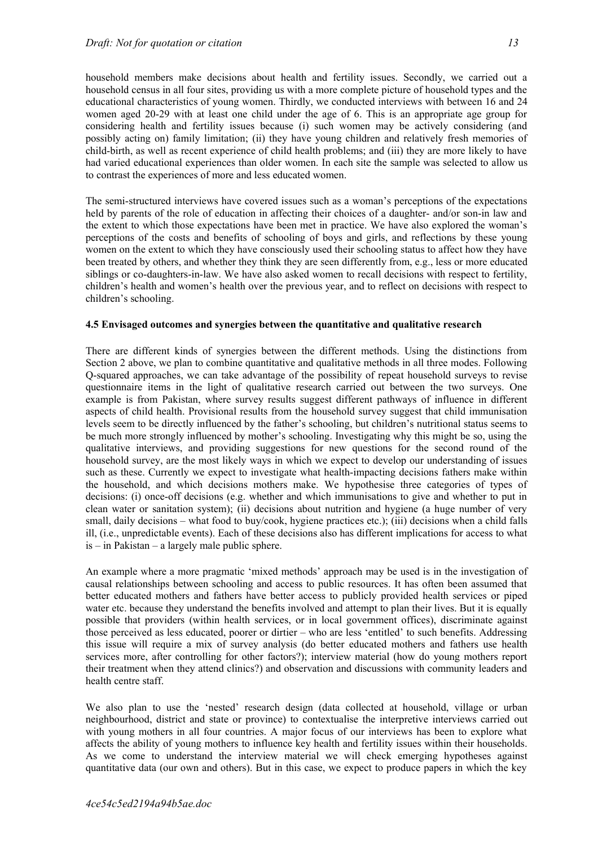household members make decisions about health and fertility issues. Secondly, we carried out a household census in all four sites, providing us with a more complete picture of household types and the educational characteristics of young women. Thirdly, we conducted interviews with between 16 and 24 women aged 20-29 with at least one child under the age of 6. This is an appropriate age group for considering health and fertility issues because (i) such women may be actively considering (and possibly acting on) family limitation; (ii) they have young children and relatively fresh memories of child-birth, as well as recent experience of child health problems; and (iii) they are more likely to have had varied educational experiences than older women. In each site the sample was selected to allow us to contrast the experiences of more and less educated women.

The semi-structured interviews have covered issues such as a woman's perceptions of the expectations held by parents of the role of education in affecting their choices of a daughter- and/or son-in law and the extent to which those expectations have been met in practice. We have also explored the woman's perceptions of the costs and benefits of schooling of boys and girls, and reflections by these young women on the extent to which they have consciously used their schooling status to affect how they have been treated by others, and whether they think they are seen differently from, e.g., less or more educated siblings or co-daughters-in-law. We have also asked women to recall decisions with respect to fertility, children's health and women's health over the previous year, and to reflect on decisions with respect to children's schooling.

### **4.5 Envisaged outcomes and synergies between the quantitative and qualitative research**

There are different kinds of synergies between the different methods. Using the distinctions from Section 2 above, we plan to combine quantitative and qualitative methods in all three modes. Following Q-squared approaches, we can take advantage of the possibility of repeat household surveys to revise questionnaire items in the light of qualitative research carried out between the two surveys. One example is from Pakistan, where survey results suggest different pathways of influence in different aspects of child health. Provisional results from the household survey suggest that child immunisation levels seem to be directly influenced by the father's schooling, but children's nutritional status seems to be much more strongly influenced by mother's schooling. Investigating why this might be so, using the qualitative interviews, and providing suggestions for new questions for the second round of the household survey, are the most likely ways in which we expect to develop our understanding of issues such as these. Currently we expect to investigate what health-impacting decisions fathers make within the household, and which decisions mothers make. We hypothesise three categories of types of decisions: (i) once-off decisions (e.g. whether and which immunisations to give and whether to put in clean water or sanitation system); (ii) decisions about nutrition and hygiene (a huge number of very small, daily decisions – what food to buy/cook, hygiene practices etc.); (iii) decisions when a child falls ill, (i.e., unpredictable events). Each of these decisions also has different implications for access to what is – in Pakistan – a largely male public sphere.

An example where a more pragmatic 'mixed methods' approach may be used is in the investigation of causal relationships between schooling and access to public resources. It has often been assumed that better educated mothers and fathers have better access to publicly provided health services or piped water etc. because they understand the benefits involved and attempt to plan their lives. But it is equally possible that providers (within health services, or in local government offices), discriminate against those perceived as less educated, poorer or dirtier – who are less 'entitled' to such benefits. Addressing this issue will require a mix of survey analysis (do better educated mothers and fathers use health services more, after controlling for other factors?); interview material (how do young mothers report their treatment when they attend clinics?) and observation and discussions with community leaders and health centre staff.

We also plan to use the 'nested' research design (data collected at household, village or urban neighbourhood, district and state or province) to contextualise the interpretive interviews carried out with young mothers in all four countries. A major focus of our interviews has been to explore what affects the ability of young mothers to influence key health and fertility issues within their households. As we come to understand the interview material we will check emerging hypotheses against quantitative data (our own and others). But in this case, we expect to produce papers in which the key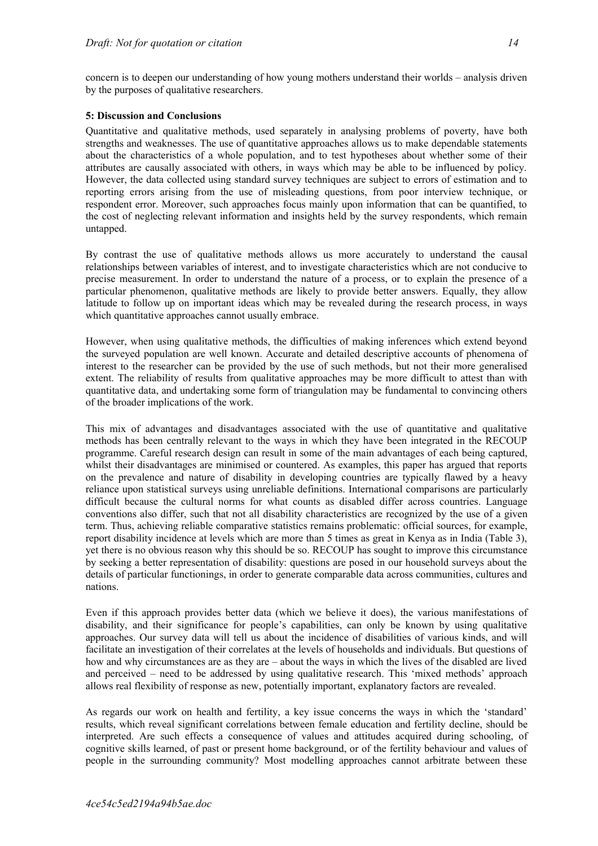concern is to deepen our understanding of how young mothers understand their worlds – analysis driven by the purposes of qualitative researchers.

### **5: Discussion and Conclusions**

Quantitative and qualitative methods, used separately in analysing problems of poverty, have both strengths and weaknesses. The use of quantitative approaches allows us to make dependable statements about the characteristics of a whole population, and to test hypotheses about whether some of their attributes are causally associated with others, in ways which may be able to be influenced by policy. However, the data collected using standard survey techniques are subject to errors of estimation and to reporting errors arising from the use of misleading questions, from poor interview technique, or respondent error. Moreover, such approaches focus mainly upon information that can be quantified, to the cost of neglecting relevant information and insights held by the survey respondents, which remain untapped.

By contrast the use of qualitative methods allows us more accurately to understand the causal relationships between variables of interest, and to investigate characteristics which are not conducive to precise measurement. In order to understand the nature of a process, or to explain the presence of a particular phenomenon, qualitative methods are likely to provide better answers. Equally, they allow latitude to follow up on important ideas which may be revealed during the research process, in ways which quantitative approaches cannot usually embrace.

However, when using qualitative methods, the difficulties of making inferences which extend beyond the surveyed population are well known. Accurate and detailed descriptive accounts of phenomena of interest to the researcher can be provided by the use of such methods, but not their more generalised extent. The reliability of results from qualitative approaches may be more difficult to attest than with quantitative data, and undertaking some form of triangulation may be fundamental to convincing others of the broader implications of the work.

This mix of advantages and disadvantages associated with the use of quantitative and qualitative methods has been centrally relevant to the ways in which they have been integrated in the RECOUP programme. Careful research design can result in some of the main advantages of each being captured, whilst their disadvantages are minimised or countered. As examples, this paper has argued that reports on the prevalence and nature of disability in developing countries are typically flawed by a heavy reliance upon statistical surveys using unreliable definitions. International comparisons are particularly difficult because the cultural norms for what counts as disabled differ across countries. Language conventions also differ, such that not all disability characteristics are recognized by the use of a given term. Thus, achieving reliable comparative statistics remains problematic: official sources, for example, report disability incidence at levels which are more than 5 times as great in Kenya as in India (Table 3), yet there is no obvious reason why this should be so. RECOUP has sought to improve this circumstance by seeking a better representation of disability: questions are posed in our household surveys about the details of particular functionings, in order to generate comparable data across communities, cultures and nations.

Even if this approach provides better data (which we believe it does), the various manifestations of disability, and their significance for people's capabilities, can only be known by using qualitative approaches. Our survey data will tell us about the incidence of disabilities of various kinds, and will facilitate an investigation of their correlates at the levels of households and individuals. But questions of how and why circumstances are as they are – about the ways in which the lives of the disabled are lived and perceived – need to be addressed by using qualitative research. This 'mixed methods' approach allows real flexibility of response as new, potentially important, explanatory factors are revealed.

As regards our work on health and fertility, a key issue concerns the ways in which the 'standard' results, which reveal significant correlations between female education and fertility decline, should be interpreted. Are such effects a consequence of values and attitudes acquired during schooling, of cognitive skills learned, of past or present home background, or of the fertility behaviour and values of people in the surrounding community? Most modelling approaches cannot arbitrate between these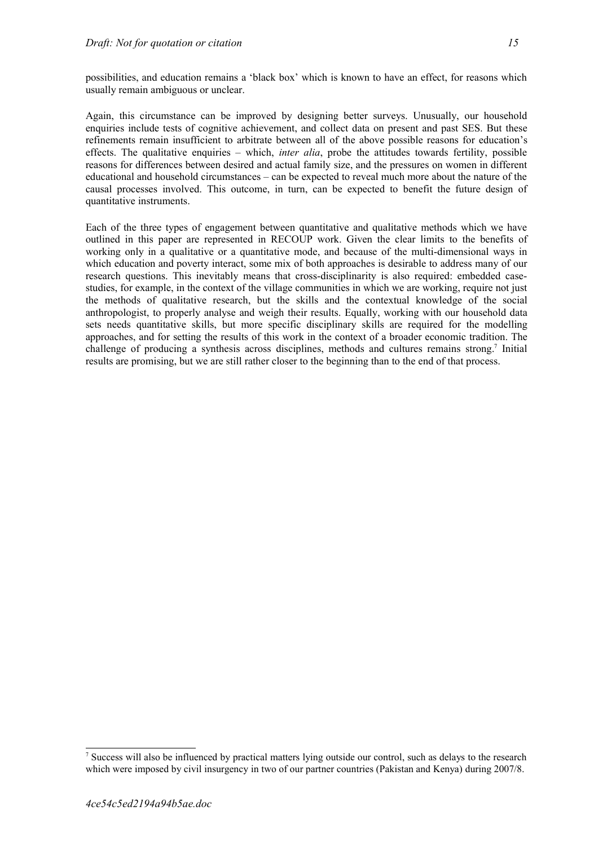possibilities, and education remains a 'black box' which is known to have an effect, for reasons which usually remain ambiguous or unclear.

Again, this circumstance can be improved by designing better surveys. Unusually, our household enquiries include tests of cognitive achievement, and collect data on present and past SES. But these refinements remain insufficient to arbitrate between all of the above possible reasons for education's effects. The qualitative enquiries – which, *inter alia*, probe the attitudes towards fertility, possible reasons for differences between desired and actual family size, and the pressures on women in different educational and household circumstances – can be expected to reveal much more about the nature of the causal processes involved. This outcome, in turn, can be expected to benefit the future design of quantitative instruments.

Each of the three types of engagement between quantitative and qualitative methods which we have outlined in this paper are represented in RECOUP work. Given the clear limits to the benefits of working only in a qualitative or a quantitative mode, and because of the multi-dimensional ways in which education and poverty interact, some mix of both approaches is desirable to address many of our research questions. This inevitably means that cross-disciplinarity is also required: embedded casestudies, for example, in the context of the village communities in which we are working, require not just the methods of qualitative research, but the skills and the contextual knowledge of the social anthropologist, to properly analyse and weigh their results. Equally, working with our household data sets needs quantitative skills, but more specific disciplinary skills are required for the modelling approaches, and for setting the results of this work in the context of a broader economic tradition. The challenge of producing a synthesis across disciplines, methods and cultures remains strong.<sup>[7](#page-14-0)</sup> Initial results are promising, but we are still rather closer to the beginning than to the end of that process.

<span id="page-14-0"></span><sup>&</sup>lt;sup>7</sup> Success will also be influenced by practical matters lying outside our control, such as delays to the research which were imposed by civil insurgency in two of our partner countries (Pakistan and Kenya) during 2007/8.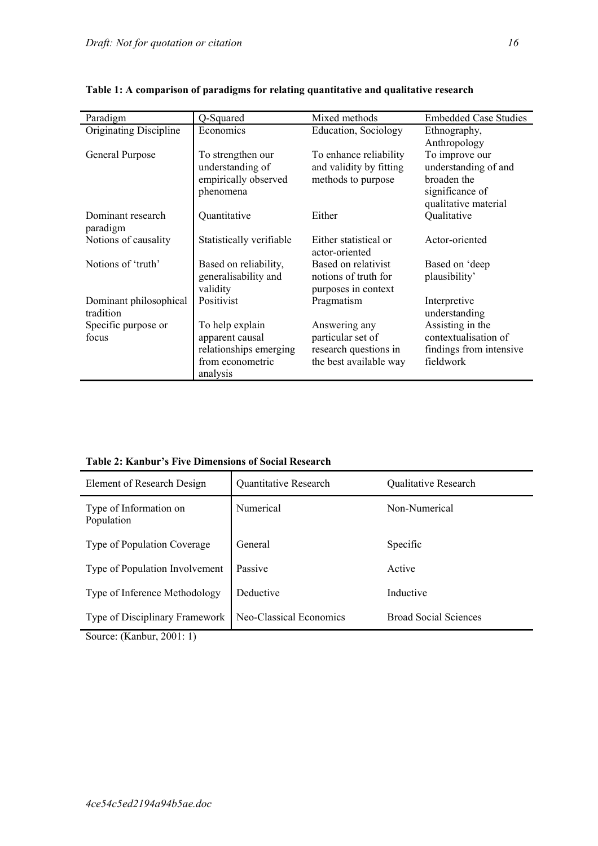| Paradigm                      | Q-Squared                | Mixed methods                           | <b>Embedded Case Studies</b> |  |  |
|-------------------------------|--------------------------|-----------------------------------------|------------------------------|--|--|
| Originating Discipline        | Economics                | <b>Education, Sociology</b>             | Ethnography,                 |  |  |
|                               |                          |                                         | Anthropology                 |  |  |
| General Purpose               | To strengthen our        | To enhance reliability                  | To improve our               |  |  |
|                               | understanding of         | and validity by fitting                 | understanding of and         |  |  |
|                               | empirically observed     | methods to purpose                      | broaden the                  |  |  |
|                               | phenomena                |                                         | significance of              |  |  |
|                               |                          |                                         | qualitative material         |  |  |
| Dominant research<br>paradigm | Quantitative             | Either                                  | Qualitative                  |  |  |
| Notions of causality          | Statistically verifiable | Either statistical or<br>actor-oriented | Actor-oriented               |  |  |
| Notions of 'truth'            | Based on reliability,    | Based on relativist                     | Based on 'deep               |  |  |
|                               | generalisability and     | notions of truth for                    | plausibility'                |  |  |
|                               | validity                 | purposes in context                     |                              |  |  |
| Dominant philosophical        | Positivist               | Pragmatism                              | Interpretive                 |  |  |
| tradition                     |                          |                                         | understanding                |  |  |
| Specific purpose or           | To help explain          | Answering any                           | Assisting in the             |  |  |
| focus                         | apparent causal          | particular set of                       | contextualisation of         |  |  |
|                               | relationships emerging   | research questions in                   | findings from intensive      |  |  |
|                               | from econometric         | the best available way                  | fieldwork                    |  |  |
|                               | analysis                 |                                         |                              |  |  |

**Table 1: A comparison of paradigms for relating quantitative and qualitative research**

| Element of Research Design           | <b>Quantitative Research</b> | Qualitative Research         |
|--------------------------------------|------------------------------|------------------------------|
| Type of Information on<br>Population | Numerical                    | Non-Numerical                |
| Type of Population Coverage          | General                      | Specific                     |
| Type of Population Involvement       | Passive                      | Active                       |
| Type of Inference Methodology        | Deductive                    | Inductive                    |
| Type of Disciplinary Framework       | Neo-Classical Economics      | <b>Broad Social Sciences</b> |

Source: (Kanbur, 2001: 1)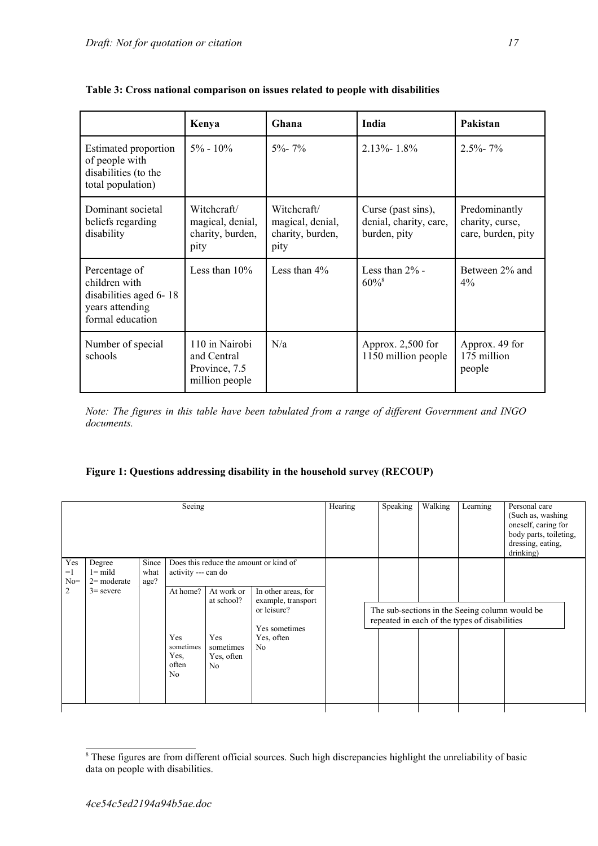|                                                                                                 | Kenya                                                            | Ghana                                                       | <b>India</b>                                                 | Pakistan                                               |
|-------------------------------------------------------------------------------------------------|------------------------------------------------------------------|-------------------------------------------------------------|--------------------------------------------------------------|--------------------------------------------------------|
| Estimated proportion<br>of people with<br>disabilities (to the<br>total population)             | $5\% - 10\%$                                                     | $5\% - 7\%$                                                 | $2.13\% - 1.8\%$                                             | $2.5\% - 7\%$                                          |
| Dominant societal<br>beliefs regarding<br>disability                                            | Witchcraft/<br>magical, denial,<br>charity, burden,<br>pity      | Witchcraft/<br>magical, denial,<br>charity, burden,<br>pity | Curse (past sins),<br>denial, charity, care,<br>burden, pity | Predominantly<br>charity, curse,<br>care, burden, pity |
| Percentage of<br>children with<br>disabilities aged 6-18<br>years attending<br>formal education | Less than $10\%$                                                 | Less than $4\%$                                             | Less than $2\%$ -<br>$60\%$ <sup>8</sup>                     | Between 2% and<br>$4\%$                                |
| Number of special<br>schools                                                                    | 110 in Nairobi<br>and Central<br>Province, 7.5<br>million people | N/a                                                         | Approx. $2,500$ for<br>1150 million people                   | Approx. 49 for<br>175 million<br>people                |

**Table 3: Cross national comparison on issues related to people with disabilities** 

*Note: The figures in this table have been tabulated from a range of different Government and INGO documents.* 

# **Figure 1: Questions addressing disability in the household survey (RECOUP)**

|                                                                                    |                       | Seeing                                                                                 |                                                                              |                                                                                                                                                     | Hearing | Speaking                                      | Walking | Learning                                       | Personal care<br>(Such as, washing)<br>oneself, caring for<br>body parts, toileting,<br>dressing, eating,<br>drinking) |
|------------------------------------------------------------------------------------|-----------------------|----------------------------------------------------------------------------------------|------------------------------------------------------------------------------|-----------------------------------------------------------------------------------------------------------------------------------------------------|---------|-----------------------------------------------|---------|------------------------------------------------|------------------------------------------------------------------------------------------------------------------------|
| Yes<br>Degree<br>$l =$ mild<br>$=1$<br>$No=$<br>$2=$ moderate<br>2<br>$3$ = severe | Since<br>what<br>age? | activity --- can do<br>At home?<br>Yes<br>sometimes<br>Yes,<br>often<br>N <sub>0</sub> | At work or<br>at school?<br>Yes<br>sometimes<br>Yes, often<br>N <sub>0</sub> | Does this reduce the amount or kind of<br>In other areas, for<br>example, transport<br>or leisure?<br>Yes sometimes<br>Yes, often<br>N <sub>0</sub> |         | repeated in each of the types of disabilities |         | The sub-sections in the Seeing column would be |                                                                                                                        |

<span id="page-16-0"></span><sup>&</sup>lt;sup>8</sup> These figures are from different official sources. Such high discrepancies highlight the unreliability of basic data on people with disabilities.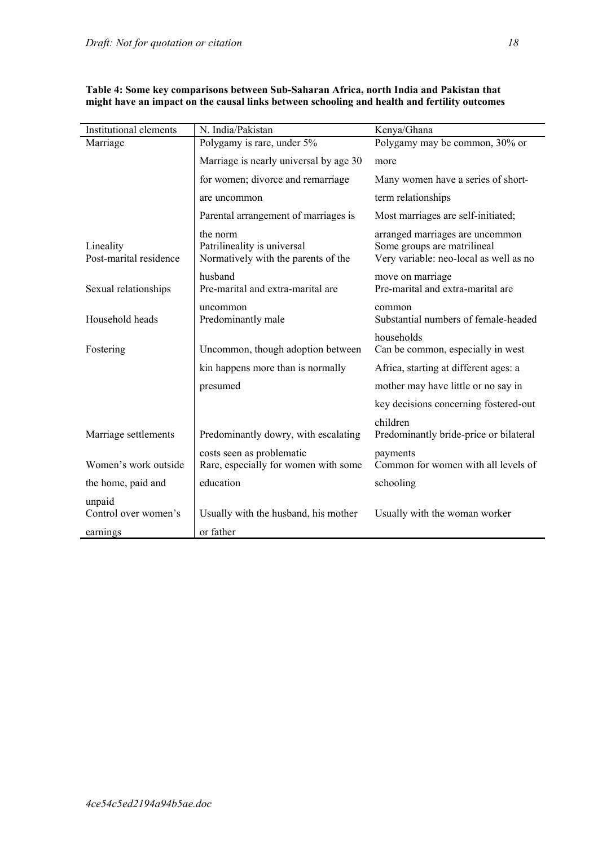| <b>Institutional elements</b>       | N. India/Pakistan                                                              | Kenya/Ghana                                                                                              |
|-------------------------------------|--------------------------------------------------------------------------------|----------------------------------------------------------------------------------------------------------|
| Marriage                            | Polygamy is rare, under 5%                                                     | Polygamy may be common, 30% or                                                                           |
|                                     | Marriage is nearly universal by age 30                                         | more                                                                                                     |
|                                     | for women; divorce and remarriage                                              | Many women have a series of short-                                                                       |
|                                     | are uncommon                                                                   | term relationships                                                                                       |
|                                     | Parental arrangement of marriages is                                           | Most marriages are self-initiated;                                                                       |
| Lineality<br>Post-marital residence | the norm<br>Patrilineality is universal<br>Normatively with the parents of the | arranged marriages are uncommon<br>Some groups are matrilineal<br>Very variable: neo-local as well as no |
| Sexual relationships                | husband<br>Pre-marital and extra-marital are                                   | move on marriage<br>Pre-marital and extra-marital are                                                    |
| Household heads                     | uncommon<br>Predominantly male                                                 | common<br>Substantial numbers of female-headed                                                           |
| Fostering                           | Uncommon, though adoption between                                              | households<br>Can be common, especially in west                                                          |
|                                     | kin happens more than is normally                                              | Africa, starting at different ages: a                                                                    |
|                                     | presumed                                                                       | mother may have little or no say in                                                                      |
|                                     |                                                                                | key decisions concerning fostered-out                                                                    |
| Marriage settlements                | Predominantly dowry, with escalating                                           | children<br>Predominantly bride-price or bilateral                                                       |
| Women's work outside                | costs seen as problematic<br>Rare, especially for women with some              | payments<br>Common for women with all levels of                                                          |
| the home, paid and                  | education                                                                      | schooling                                                                                                |
| unpaid<br>Control over women's      | Usually with the husband, his mother                                           | Usually with the woman worker                                                                            |
| earnings                            | or father                                                                      |                                                                                                          |

**Table 4: Some key comparisons between Sub-Saharan Africa, north India and Pakistan that might have an impact on the causal links between schooling and health and fertility outcomes**